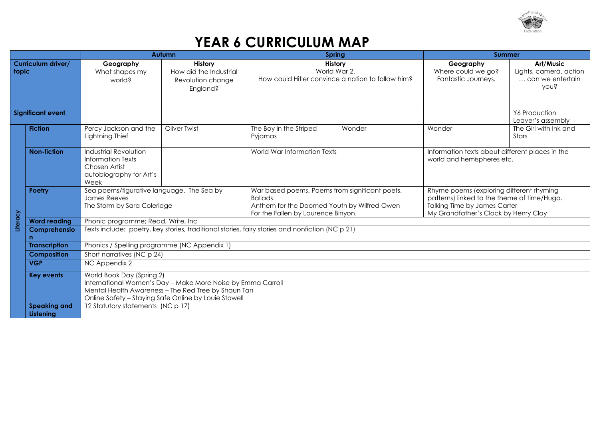

## **YEAR 6 CURRICULUM MAP**

|                                    |                                  | <b>Autumn</b>                                                                                                                                                                                           |                                                                    | <b>Spring</b>                                                                                                                                   |        | <b>Summer</b>                                                                                                                                                          |                                                                 |  |
|------------------------------------|----------------------------------|---------------------------------------------------------------------------------------------------------------------------------------------------------------------------------------------------------|--------------------------------------------------------------------|-------------------------------------------------------------------------------------------------------------------------------------------------|--------|------------------------------------------------------------------------------------------------------------------------------------------------------------------------|-----------------------------------------------------------------|--|
| <b>Curriculum driver/</b><br>topic |                                  | Geography<br>What shapes my<br>world?                                                                                                                                                                   | History<br>How did the Industrial<br>Revolution change<br>England? | History<br>World War 2.<br>How could Hitler convince a nation to follow him?                                                                    |        | Geography<br>Where could we go?<br>Fantastic Journeys.                                                                                                                 | Art/Music<br>Lights, camera, action<br>can we entertain<br>you? |  |
| <b>Significant event</b>           |                                  |                                                                                                                                                                                                         |                                                                    |                                                                                                                                                 |        |                                                                                                                                                                        | Y6 Production<br>Leaver's assembly                              |  |
|                                    | <b>Fiction</b>                   | Percy Jackson and the<br>Lightning Thief                                                                                                                                                                | <b>Oliver Twist</b>                                                | The Boy in the Striped<br>Pyjamas                                                                                                               | Wonder | Wonder                                                                                                                                                                 | The Girl with Ink and<br>Stars                                  |  |
|                                    | <b>Non-fiction</b>               | Industrial Revolution<br>Information Texts<br>Chosen Artist<br>autobiography for Art's<br>Week                                                                                                          |                                                                    | World War Information Texts                                                                                                                     |        | Information texts about different places in the<br>world and hemispheres etc.                                                                                          |                                                                 |  |
|                                    | Poetry                           | Sea poems/figurative language. The Sea by<br>James Reeves<br>The Storm by Sara Coleridge                                                                                                                |                                                                    | War based poems. Poems from significant poets.<br>Ballads.<br>Anthem for the Doomed Youth by Wilfred Owen<br>For the Fallen by Laurence Binyon. |        | Rhyme poems (exploring different rhyming<br>patterns) linked to the theme of time/Hugo.<br><b>Talking Time by James Carter</b><br>My Grandfather's Clock by Henry Clay |                                                                 |  |
| Literacy                           | <b>Word reading</b>              | Phonic programme; Read, Write, Inc.                                                                                                                                                                     |                                                                    |                                                                                                                                                 |        |                                                                                                                                                                        |                                                                 |  |
|                                    | Comprehensio<br>n                | Texts include: poetry, key stories, traditional stories, fairy stories and nonfiction (NC p 21)                                                                                                         |                                                                    |                                                                                                                                                 |        |                                                                                                                                                                        |                                                                 |  |
|                                    | <b>Transcription</b>             | Phonics / Spelling programme (NC Appendix 1)                                                                                                                                                            |                                                                    |                                                                                                                                                 |        |                                                                                                                                                                        |                                                                 |  |
|                                    | <b>Composition</b>               | Short narratives (NC p 24)                                                                                                                                                                              |                                                                    |                                                                                                                                                 |        |                                                                                                                                                                        |                                                                 |  |
|                                    | <b>VGP</b>                       | NC Appendix 2                                                                                                                                                                                           |                                                                    |                                                                                                                                                 |        |                                                                                                                                                                        |                                                                 |  |
|                                    | <b>Key events</b>                | World Book Day (Spring 2)<br>International Women's Day - Make More Noise by Emma Carroll<br>Mental Health Awareness - The Red Tree by Shaun Tan<br>Online Safety - Staying Safe Online by Louie Stowell |                                                                    |                                                                                                                                                 |        |                                                                                                                                                                        |                                                                 |  |
|                                    | <b>Speaking and</b><br>Listening | 12 Statutory statements (NC p 17)                                                                                                                                                                       |                                                                    |                                                                                                                                                 |        |                                                                                                                                                                        |                                                                 |  |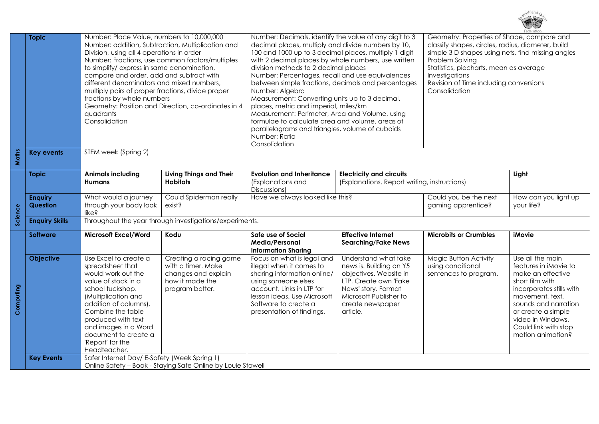

|           | <b>Topic</b>               | Number: Place Value, numbers to 10,000,000<br>Number: addition, Subtraction, Multiplication and<br>Division, using all 4 operations in order<br>Number: Fractions, use common factors/multiples<br>to simplify/express in same denomination,<br>compare and order, add and subtract with<br>different denominators and mixed numbers,<br>multiply pairs of proper fractions, divide proper<br>fractions by whole numbers<br>Geometry: Position and Direction, co-ordinates in 4<br>quadrants<br>Consolidation |                                                                                                           | Number: Decimals, identify the value of any digit to 3<br>decimal places, multiply and divide numbers by 10,<br>100 and 1000 up to 3 decimal places, multiply 1 digit<br>with 2 decimal places by whole numbers, use written<br>division methods to 2 decimal places<br>Number: Percentages, recall and use equivalences<br>between simple fractions, decimals and percentages<br>Number: Algebra<br>Measurement: Converting units up to 3 decimal,<br>places, metric and imperial, miles/km<br>Measurement: Perimeter, Area and Volume, using<br>formulae to calculate area and volume, areas of<br>parallelograms and triangles, volume of cuboids<br>Number: Ratio<br>Consolidation |                                                                                                                                                                                     | Geometry: Properties of Shape, compare and<br>classify shapes, circles, radius, diameter, build<br>simple 3 D shapes using nets, find missing angles<br>Problem Solving<br>Statistics, piecharts, mean as average<br>Investigations<br>Revision of Time including conversions<br>Consolidation |                                                                                                                                                                                                                                                  |  |  |
|-----------|----------------------------|---------------------------------------------------------------------------------------------------------------------------------------------------------------------------------------------------------------------------------------------------------------------------------------------------------------------------------------------------------------------------------------------------------------------------------------------------------------------------------------------------------------|-----------------------------------------------------------------------------------------------------------|----------------------------------------------------------------------------------------------------------------------------------------------------------------------------------------------------------------------------------------------------------------------------------------------------------------------------------------------------------------------------------------------------------------------------------------------------------------------------------------------------------------------------------------------------------------------------------------------------------------------------------------------------------------------------------------|-------------------------------------------------------------------------------------------------------------------------------------------------------------------------------------|------------------------------------------------------------------------------------------------------------------------------------------------------------------------------------------------------------------------------------------------------------------------------------------------|--------------------------------------------------------------------------------------------------------------------------------------------------------------------------------------------------------------------------------------------------|--|--|
| Maths     | <b>Key events</b>          | STEM week (Spring 2)                                                                                                                                                                                                                                                                                                                                                                                                                                                                                          |                                                                                                           |                                                                                                                                                                                                                                                                                                                                                                                                                                                                                                                                                                                                                                                                                        |                                                                                                                                                                                     |                                                                                                                                                                                                                                                                                                |                                                                                                                                                                                                                                                  |  |  |
|           | <b>Topic</b>               | <b>Animals including</b><br><b>Humans</b>                                                                                                                                                                                                                                                                                                                                                                                                                                                                     | Living Things and Their<br><b>Habitats</b>                                                                | <b>Evolution and Inheritance</b><br>(Explanations and<br>Discussions)                                                                                                                                                                                                                                                                                                                                                                                                                                                                                                                                                                                                                  | <b>Electricity and circuits</b><br>(Explanations. Report writing, instructions)                                                                                                     |                                                                                                                                                                                                                                                                                                | Light                                                                                                                                                                                                                                            |  |  |
| Science   | <b>Enquiry</b><br>Question | What would a journey<br>through your body look<br>like?                                                                                                                                                                                                                                                                                                                                                                                                                                                       | Could Spiderman really<br>exist?                                                                          | Have we always looked like this?                                                                                                                                                                                                                                                                                                                                                                                                                                                                                                                                                                                                                                                       |                                                                                                                                                                                     | Could you be the next<br>How can you light up<br>gaming apprentice?<br>your life?                                                                                                                                                                                                              |                                                                                                                                                                                                                                                  |  |  |
|           | <b>Enquiry Skills</b>      |                                                                                                                                                                                                                                                                                                                                                                                                                                                                                                               | Throughout the year through investigations/experiments.                                                   |                                                                                                                                                                                                                                                                                                                                                                                                                                                                                                                                                                                                                                                                                        |                                                                                                                                                                                     |                                                                                                                                                                                                                                                                                                |                                                                                                                                                                                                                                                  |  |  |
|           | <b>Software</b>            | <b>Microsoft Excel/Word</b>                                                                                                                                                                                                                                                                                                                                                                                                                                                                                   | Kodu                                                                                                      | Safe use of Social<br>Media/Personal<br><b>Information Sharing</b>                                                                                                                                                                                                                                                                                                                                                                                                                                                                                                                                                                                                                     | <b>Effective Internet</b><br><b>Searching/Fake News</b>                                                                                                                             | <b>Microbits or Crumbles</b>                                                                                                                                                                                                                                                                   | <b>iMovie</b>                                                                                                                                                                                                                                    |  |  |
| Computing | <b>Objective</b>           | Use Excel to create a<br>spreadsheet that<br>would work out the<br>value of stock in a<br>school tuckshop.<br>(Multiplication and<br>addition of columns).<br>Combine the table<br>produced with text<br>and images in a Word<br>document to create a<br>'Report' for the<br>Headteacher.                                                                                                                                                                                                                     | Creating a racing game<br>with a timer. Make<br>changes and explain<br>how it made the<br>program better. | Focus on what is legal and<br>illegal when it comes to<br>sharing information online/<br>using someone elses<br>account. Links in LTP for<br>lesson ideas. Use Microsoft<br>Software to create a<br>presentation of findings.                                                                                                                                                                                                                                                                                                                                                                                                                                                          | Understand what fake<br>news is. Building on Y5<br>objectives. Website in<br>LTP. Create own 'Fake<br>News' story. Format<br>Microsoft Publisher to<br>create newspaper<br>article. | Magic Button Activity<br>using conditional<br>sentences to program.                                                                                                                                                                                                                            | Use all the main<br>features in iMovie to<br>make an effective<br>short film with<br>incorporates stills with<br>movement, text,<br>sounds and narration<br>or create a simple<br>video in Windows.<br>Could link with stop<br>motion animation? |  |  |
|           | <b>Key Events</b>          | Safer Internet Day/ E-Safety (Week Spring 1)                                                                                                                                                                                                                                                                                                                                                                                                                                                                  | Online Safety - Book - Staying Safe Online by Louie Stowell                                               |                                                                                                                                                                                                                                                                                                                                                                                                                                                                                                                                                                                                                                                                                        |                                                                                                                                                                                     |                                                                                                                                                                                                                                                                                                |                                                                                                                                                                                                                                                  |  |  |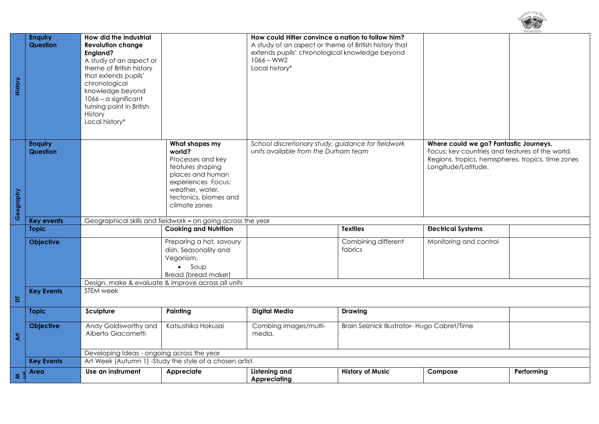| History                 | <b>Enquiry</b><br>Question | How did the Industrial<br><b>Revolution change</b><br>England?<br>A study of an aspect or<br>theme of British history<br>that extends pupils'<br>chronological<br>knowledge beyond<br>1066 - a significant<br>turning point in British<br>History<br>Local history* |                                                                                                                                                                          | How could Hitler convince a nation to follow him?<br>A study of an aspect or theme of British history that<br>extends pupils' chronological knowledge beyond<br>$1066 - WW2$<br>Local history* |                                              |                                                                                                                                                                        |            |
|-------------------------|----------------------------|---------------------------------------------------------------------------------------------------------------------------------------------------------------------------------------------------------------------------------------------------------------------|--------------------------------------------------------------------------------------------------------------------------------------------------------------------------|------------------------------------------------------------------------------------------------------------------------------------------------------------------------------------------------|----------------------------------------------|------------------------------------------------------------------------------------------------------------------------------------------------------------------------|------------|
| Geography               | <b>Enquiry</b><br>Question |                                                                                                                                                                                                                                                                     | What shapes my<br>world?<br>Processes and key<br>features shaping<br>places and human<br>experiences Focus:<br>weather, water,<br>tectonics, biomes and<br>climate zones | School discretionary study: guidance for fieldwork<br>units available from the Durham team                                                                                                     |                                              | Where could we go? Fantastic Journeys.<br>Focus: key countries and features of the world.<br>Regions, tropics, hemispheres, tropics, time zones<br>Longitude/Latitude. |            |
|                         | <b>Key events</b>          |                                                                                                                                                                                                                                                                     | Geographical skills and fieldwork - on going across the year                                                                                                             |                                                                                                                                                                                                |                                              |                                                                                                                                                                        |            |
|                         | <b>Topic</b>               |                                                                                                                                                                                                                                                                     | <b>Cooking and Nutrition</b>                                                                                                                                             |                                                                                                                                                                                                | <b>Textiles</b>                              | <b>Electrical Systems</b>                                                                                                                                              |            |
|                         | <b>Objective</b>           |                                                                                                                                                                                                                                                                     | Preparing a hot, savoury<br>dish. Seasonality and<br>Veganism.<br>$\bullet$ Soup<br>Bread (bread maker)<br>Design, make & evaluate & improve across all units            |                                                                                                                                                                                                | Combining different<br>fabrics               | Monitoring and control                                                                                                                                                 |            |
|                         | <b>Key Events</b>          | STEM week                                                                                                                                                                                                                                                           |                                                                                                                                                                          |                                                                                                                                                                                                |                                              |                                                                                                                                                                        |            |
| Б                       |                            |                                                                                                                                                                                                                                                                     |                                                                                                                                                                          |                                                                                                                                                                                                |                                              |                                                                                                                                                                        |            |
|                         | <b>Topic</b>               | Sculpture                                                                                                                                                                                                                                                           | Painting                                                                                                                                                                 | <b>Digital Media</b>                                                                                                                                                                           | <b>Drawing</b>                               |                                                                                                                                                                        |            |
| $\overline{\mathbf{z}}$ | <b>Objective</b>           | Andy Goldsworthy and<br>Alberto Giacometti                                                                                                                                                                                                                          | Katsushika Hokusai                                                                                                                                                       | Combing images/multi-<br>media.                                                                                                                                                                | Brain Selznick Illustrator- Hugo Cabret/Time |                                                                                                                                                                        |            |
|                         |                            | Developing Ideas - ongoing across the year                                                                                                                                                                                                                          |                                                                                                                                                                          |                                                                                                                                                                                                |                                              |                                                                                                                                                                        |            |
|                         | <b>Key Events</b>          | Art Week (Autumn 1) -Study the style of a chosen artist.                                                                                                                                                                                                            |                                                                                                                                                                          |                                                                                                                                                                                                |                                              |                                                                                                                                                                        |            |
| $\leq$ $\frac{1}{2}$    | Area                       | Use an instrument                                                                                                                                                                                                                                                   | Appreciate                                                                                                                                                               | Listening and<br><b>Appreciating</b>                                                                                                                                                           | <b>History of Music</b>                      | Compose                                                                                                                                                                | Performing |

ch and  $\Delta \mathcal{L}$